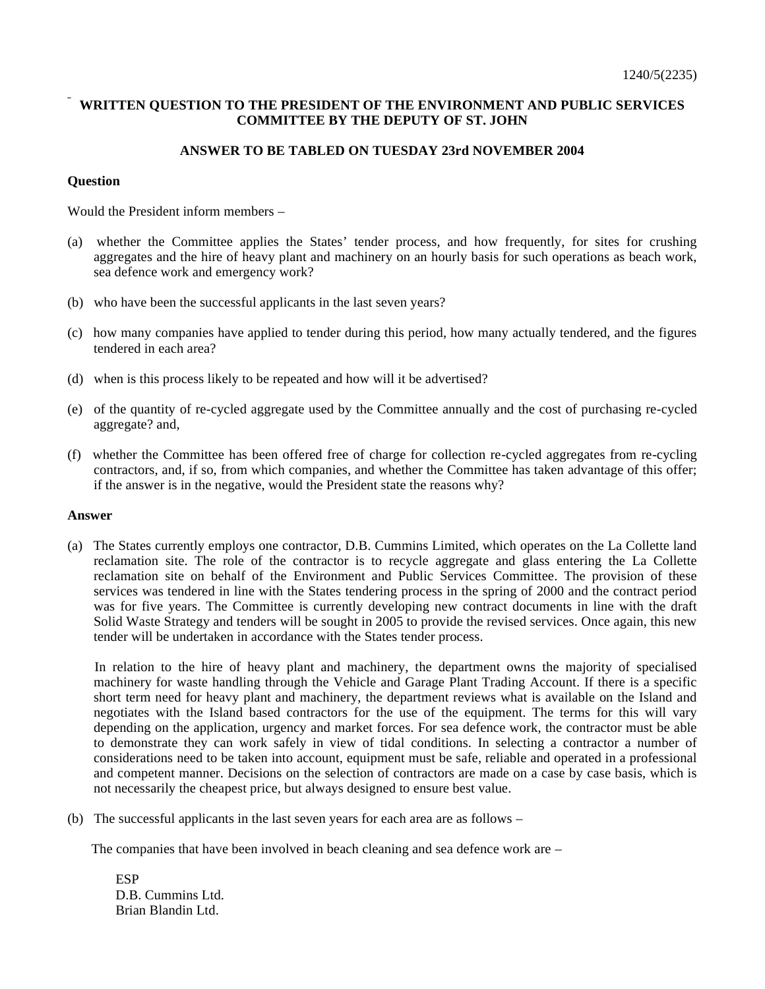## **WRITTEN QUESTION TO THE PRESIDENT OF THE ENVIRONMENT AND PUBLIC SERVICES COMMITTEE BY THE DEPUTY OF ST. JOHN**

## **ANSWER TO BE TABLED ON TUESDAY 23rd NOVEMBER 2004**

## **Question**

Would the President inform members –

- (a) whether the Committee applies the States' tender process, and how frequently, for sites for crushing aggregates and the hire of heavy plant and machinery on an hourly basis for such operations as beach work, sea defence work and emergency work?
- (b) who have been the successful applicants in the last seven years?
- (c) how many companies have applied to tender during this period, how many actually tendered, and the figures tendered in each area?
- (d) when is this process likely to be repeated and how will it be advertised?
- (e) of the quantity of re-cycled aggregate used by the Committee annually and the cost of purchasing re-cycled aggregate? and,
- (f) whether the Committee has been offered free of charge for collection re-cycled aggregates from re-cycling contractors, and, if so, from which companies, and whether the Committee has taken advantage of this offer; if the answer is in the negative, would the President state the reasons why?

## **Answer**

(a) The States currently employs one contractor, D.B. Cummins Limited, which operates on the La Collette land reclamation site. The role of the contractor is to recycle aggregate and glass entering the La Collette reclamation site on behalf of the Environment and Public Services Committee. The provision of these services was tendered in line with the States tendering process in the spring of 2000 and the contract period was for five years. The Committee is currently developing new contract documents in line with the draft Solid Waste Strategy and tenders will be sought in 2005 to provide the revised services. Once again, this new tender will be undertaken in accordance with the States tender process.

 In relation to the hire of heavy plant and machinery, the department owns the majority of specialised machinery for waste handling through the Vehicle and Garage Plant Trading Account. If there is a specific short term need for heavy plant and machinery, the department reviews what is available on the Island and negotiates with the Island based contractors for the use of the equipment. The terms for this will vary depending on the application, urgency and market forces. For sea defence work, the contractor must be able to demonstrate they can work safely in view of tidal conditions. In selecting a contractor a number of considerations need to be taken into account, equipment must be safe, reliable and operated in a professional and competent manner. Decisions on the selection of contractors are made on a case by case basis, which is not necessarily the cheapest price, but always designed to ensure best value.

(b) The successful applicants in the last seven years for each area are as follows –

The companies that have been involved in beach cleaning and sea defence work are –

**ESP** D.B. Cummins Ltd. Brian Blandin Ltd.